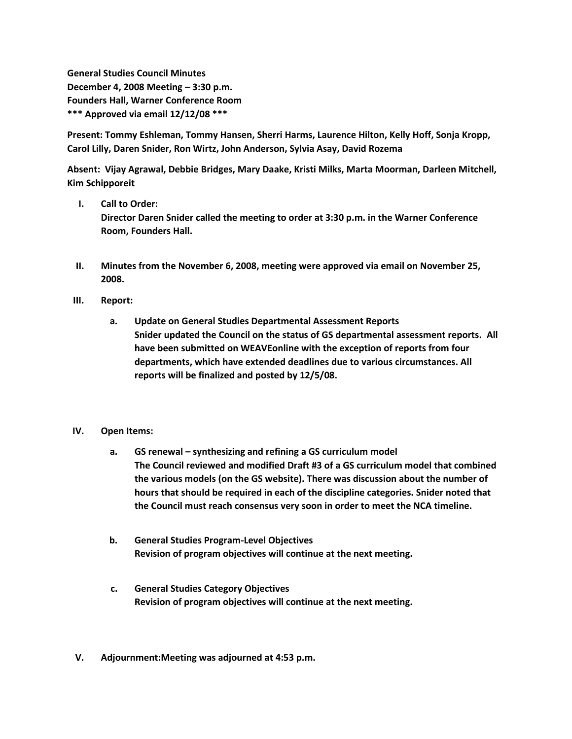**General Studies Council Minutes December 4, 2008 Meeting – 3:30 p.m. Founders Hall, Warner Conference Room \*\*\* Approved via email 12/12/08 \*\*\***

**Present: Tommy Eshleman, Tommy Hansen, Sherri Harms, Laurence Hilton, Kelly Hoff, Sonja Kropp, Carol Lilly, Daren Snider, Ron Wirtz, John Anderson, Sylvia Asay, David Rozema**

**Absent: Vijay Agrawal, Debbie Bridges, Mary Daake, Kristi Milks, Marta Moorman, Darleen Mitchell, Kim Schipporeit**

**I. Call to Order:**

**Director Daren Snider called the meeting to order at 3:30 p.m. in the Warner Conference Room, Founders Hall.**

- **II. Minutes from the November 6, 2008, meeting were approved via email on November 25, 2008.**
- **III. Report:**
	- **a. Update on General Studies Departmental Assessment Reports Snider updated the Council on the status of GS departmental assessment reports. All have been submitted on WEAVEonline with the exception of reports from four departments, which have extended deadlines due to various circumstances. All reports will be finalized and posted by 12/5/08.**

## **IV. Open Items:**

- **a. GS renewal – synthesizing and refining a GS curriculum model The Council reviewed and modified Draft #3 of a GS curriculum model that combined the various models (on the GS website). There was discussion about the number of hours that should be required in each of the discipline categories. Snider noted that the Council must reach consensus very soon in order to meet the NCA timeline.**
- **b. General Studies Program-Level Objectives Revision of program objectives will continue at the next meeting.**
- **c. General Studies Category Objectives Revision of program objectives will continue at the next meeting.**
- **V. Adjournment:Meeting was adjourned at 4:53 p.m.**